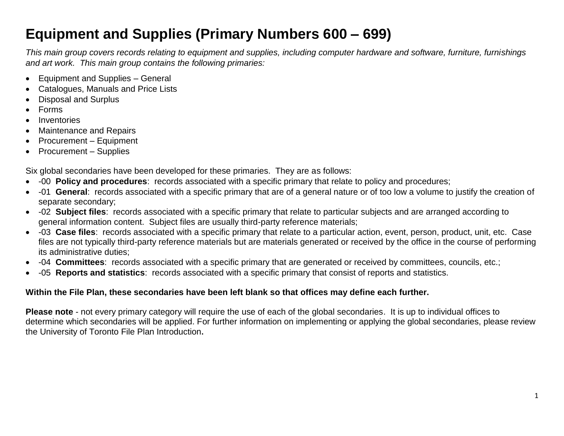## **Equipment and Supplies (Primary Numbers 600 – 699)**

*This main group covers records relating to equipment and supplies, including computer hardware and software, furniture, furnishings and art work. This main group contains the following primaries:*

- Equipment and Supplies General
- Catalogues, Manuals and Price Lists
- Disposal and Surplus
- Forms
- Inventories
- Maintenance and Repairs
- Procurement Equipment
- Procurement Supplies

Six global secondaries have been developed for these primaries. They are as follows:

- -00 **Policy and procedures**: records associated with a specific primary that relate to policy and procedures;
- -01 **General**: records associated with a specific primary that are of a general nature or of too low a volume to justify the creation of separate secondary;
- -02 **Subject files**: records associated with a specific primary that relate to particular subjects and are arranged according to general information content. Subject files are usually third-party reference materials;
- -03 **Case files**: records associated with a specific primary that relate to a particular action, event, person, product, unit, etc. Case files are not typically third-party reference materials but are materials generated or received by the office in the course of performing its administrative duties;
- -04 **Committees**: records associated with a specific primary that are generated or received by committees, councils, etc.;
- -05 **Reports and statistics**: records associated with a specific primary that consist of reports and statistics.

## **Within the File Plan, these secondaries have been left blank so that offices may define each further.**

**Please note** - not every primary category will require the use of each of the global secondaries. It is up to individual offices to determine which secondaries will be applied. For further information on implementing or applying the global secondaries, please review the University of Toronto File Plan Introduction**.**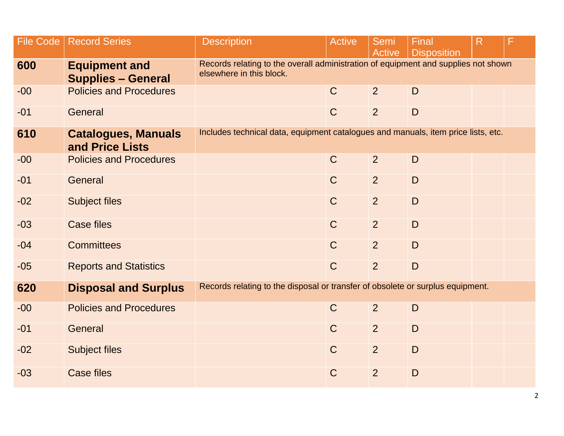| <b>File Code</b> | <b>Record Series</b>                              | <b>Description</b>                                                                                             | <b>Active</b> | Semi<br>Active | Final<br><b>Disposition</b> | R |  |  |
|------------------|---------------------------------------------------|----------------------------------------------------------------------------------------------------------------|---------------|----------------|-----------------------------|---|--|--|
| 600              | <b>Equipment and</b><br><b>Supplies - General</b> | Records relating to the overall administration of equipment and supplies not shown<br>elsewhere in this block. |               |                |                             |   |  |  |
| $-00$            | <b>Policies and Procedures</b>                    |                                                                                                                | $\mathsf{C}$  | $\overline{2}$ | D                           |   |  |  |
| $-01$            | General                                           |                                                                                                                | $\mathsf{C}$  | 2              | $\mathsf{D}$                |   |  |  |
| 610              | <b>Catalogues, Manuals</b><br>and Price Lists     | Includes technical data, equipment catalogues and manuals, item price lists, etc.                              |               |                |                             |   |  |  |
| $-00$            | <b>Policies and Procedures</b>                    |                                                                                                                | $\mathsf{C}$  | 2              | D                           |   |  |  |
| $-01$            | General                                           |                                                                                                                | $\mathsf{C}$  | 2              | D                           |   |  |  |
| $-02$            | <b>Subject files</b>                              |                                                                                                                | $\mathsf{C}$  | $\overline{2}$ | D                           |   |  |  |
| $-03$            | <b>Case files</b>                                 |                                                                                                                | $\mathsf{C}$  | $\overline{2}$ | D                           |   |  |  |
| $-04$            | <b>Committees</b>                                 |                                                                                                                | $\mathsf{C}$  | 2              | $\mathsf{D}$                |   |  |  |
| $-05$            | <b>Reports and Statistics</b>                     |                                                                                                                | $\mathsf{C}$  | $\overline{2}$ | D                           |   |  |  |
| 620              | <b>Disposal and Surplus</b>                       | Records relating to the disposal or transfer of obsolete or surplus equipment.                                 |               |                |                             |   |  |  |
| $-00$            | <b>Policies and Procedures</b>                    |                                                                                                                | $\mathsf C$   | $\overline{2}$ | D                           |   |  |  |
| $-01$            | General                                           |                                                                                                                | $\mathsf{C}$  | $\overline{2}$ | D                           |   |  |  |
| $-02$            | <b>Subject files</b>                              |                                                                                                                | $\mathsf{C}$  | $\overline{2}$ | D                           |   |  |  |
| $-03$            | <b>Case files</b>                                 |                                                                                                                | $\mathsf C$   | $\overline{2}$ | D                           |   |  |  |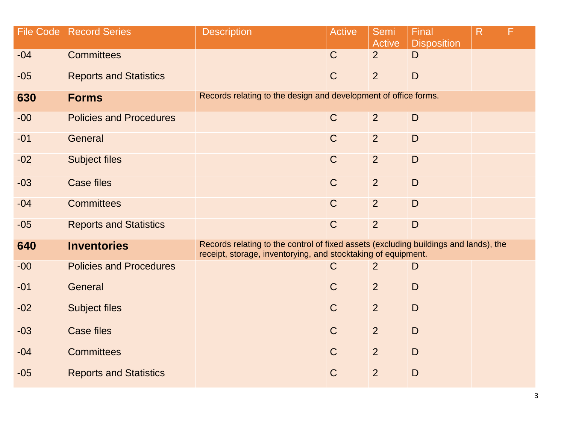| <b>File Code</b> | <b>Record Series</b>           | <b>Description</b>                                                                                                                                    | <b>Active</b> | Semi<br><b>Active</b> | Final<br><b>Disposition</b> | R |  |  |
|------------------|--------------------------------|-------------------------------------------------------------------------------------------------------------------------------------------------------|---------------|-----------------------|-----------------------------|---|--|--|
| $-04$            | <b>Committees</b>              |                                                                                                                                                       | $\mathsf{C}$  | 2 <sup>1</sup>        | D                           |   |  |  |
| $-05$            | <b>Reports and Statistics</b>  |                                                                                                                                                       | $\mathsf{C}$  | 2                     | D                           |   |  |  |
| 630              | <b>Forms</b>                   | Records relating to the design and development of office forms.                                                                                       |               |                       |                             |   |  |  |
| $-00$            | <b>Policies and Procedures</b> |                                                                                                                                                       | $\mathsf{C}$  | 2                     | D                           |   |  |  |
| $-01$            | General                        |                                                                                                                                                       | $\mathsf{C}$  | $\overline{2}$        | D                           |   |  |  |
| $-02$            | <b>Subject files</b>           |                                                                                                                                                       | $\mathsf{C}$  | $\overline{2}$        | $\mathsf{D}$                |   |  |  |
| $-03$            | <b>Case files</b>              |                                                                                                                                                       | $\mathsf{C}$  | 2                     | D                           |   |  |  |
| $-04$            | <b>Committees</b>              |                                                                                                                                                       | $\mathsf{C}$  | $\overline{2}$        | D                           |   |  |  |
| $-05$            | <b>Reports and Statistics</b>  |                                                                                                                                                       | $\mathsf{C}$  | $\overline{2}$        | $\mathsf{D}$                |   |  |  |
| 640              | <b>Inventories</b>             | Records relating to the control of fixed assets (excluding buildings and lands), the<br>receipt, storage, inventorying, and stocktaking of equipment. |               |                       |                             |   |  |  |
| $-00$            | <b>Policies and Procedures</b> |                                                                                                                                                       | $\mathsf{C}$  | 2                     | D                           |   |  |  |
| $-01$            | General                        |                                                                                                                                                       | $\mathsf{C}$  | $\overline{2}$        | D                           |   |  |  |
| $-02$            | <b>Subject files</b>           |                                                                                                                                                       | $\mathsf{C}$  | $\overline{2}$        | D                           |   |  |  |
| $-03$            | <b>Case files</b>              |                                                                                                                                                       | $\mathsf{C}$  | 2                     | $\mathsf{D}$                |   |  |  |
| $-04$            | <b>Committees</b>              |                                                                                                                                                       | $\mathsf{C}$  | 2                     | D                           |   |  |  |
| $-05$            | <b>Reports and Statistics</b>  |                                                                                                                                                       | $\mathsf C$   | $\overline{2}$        | $\mathsf{D}$                |   |  |  |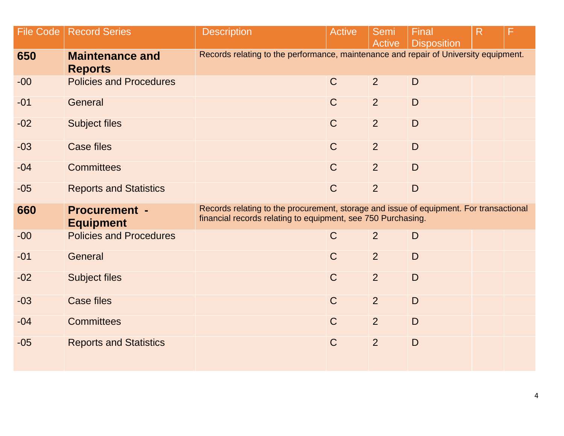| File Code | <b>Record Series</b>                     | <b>Description</b>                                                                                                                                     | <b>Active</b> | Semi<br>Active | Final<br><b>Disposition</b> | R |  |  |  |
|-----------|------------------------------------------|--------------------------------------------------------------------------------------------------------------------------------------------------------|---------------|----------------|-----------------------------|---|--|--|--|
| 650       | <b>Maintenance and</b><br><b>Reports</b> | Records relating to the performance, maintenance and repair of University equipment.                                                                   |               |                |                             |   |  |  |  |
| $-00$     | <b>Policies and Procedures</b>           |                                                                                                                                                        | $\mathsf{C}$  | 2              | $\mathsf{D}$                |   |  |  |  |
| $-01$     | General                                  |                                                                                                                                                        | $\mathsf{C}$  | $\overline{2}$ | $\mathsf{D}$                |   |  |  |  |
| $-02$     | <b>Subject files</b>                     |                                                                                                                                                        | $\mathsf{C}$  | $\overline{2}$ | D                           |   |  |  |  |
| $-03$     | <b>Case files</b>                        |                                                                                                                                                        | $\mathsf C$   | $\overline{2}$ | $\mathsf{D}$                |   |  |  |  |
| $-04$     | <b>Committees</b>                        |                                                                                                                                                        | $\mathsf C$   | $\overline{2}$ | $\mathsf{D}$                |   |  |  |  |
| $-05$     | <b>Reports and Statistics</b>            |                                                                                                                                                        | $\mathsf C$   | $\overline{2}$ | $\mathsf{D}$                |   |  |  |  |
| 660       | <b>Procurement -</b><br><b>Equipment</b> | Records relating to the procurement, storage and issue of equipment. For transactional<br>financial records relating to equipment, see 750 Purchasing. |               |                |                             |   |  |  |  |
| $-00$     | <b>Policies and Procedures</b>           |                                                                                                                                                        | $\mathsf C$   | $\overline{2}$ | D                           |   |  |  |  |
| $-01$     | General                                  |                                                                                                                                                        | $\mathsf{C}$  | $\overline{2}$ | D                           |   |  |  |  |
| $-02$     | <b>Subject files</b>                     |                                                                                                                                                        | $\mathsf C$   | 2              | D                           |   |  |  |  |
| $-03$     | <b>Case files</b>                        |                                                                                                                                                        | $\mathsf C$   | $\overline{2}$ | D                           |   |  |  |  |
| $-04$     | <b>Committees</b>                        |                                                                                                                                                        | $\mathsf{C}$  | $\overline{2}$ | D                           |   |  |  |  |
| $-05$     | <b>Reports and Statistics</b>            |                                                                                                                                                        | $\mathsf C$   | $\overline{2}$ | D                           |   |  |  |  |